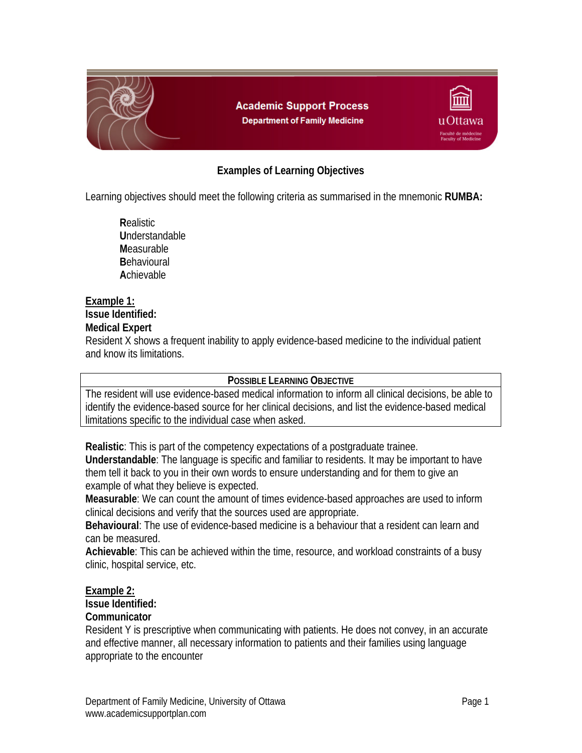

# **Examples of Learning Objectives**

Learning objectives should meet the following criteria as summarised in the mnemonic **RUMBA:** 

**R**ealistic **U**nderstandable **M**easurable **B**ehavioural **A**chievable

## **Example 1:**

## **Issue Identified:**

### **Medical Expert**

Resident X shows a frequent inability to apply evidence-based medicine to the individual patient and know its limitations.

### **POSSIBLE LEARNING OBJECTIVE**

The resident will use evidence-based medical information to inform all clinical decisions, be able to identify the evidence-based source for her clinical decisions, and list the evidence-based medical limitations specific to the individual case when asked.

**Realistic**: This is part of the competency expectations of a postgraduate trainee.

**Understandable**: The language is specific and familiar to residents. It may be important to have them tell it back to you in their own words to ensure understanding and for them to give an example of what they believe is expected.

**Measurable**: We can count the amount of times evidence-based approaches are used to inform clinical decisions and verify that the sources used are appropriate.

**Behavioural**: The use of evidence-based medicine is a behaviour that a resident can learn and can be measured.

**Achievable**: This can be achieved within the time, resource, and workload constraints of a busy clinic, hospital service, etc.

### **Example 2:**

#### **Issue Identified:**

### **Communicator**

Resident Y is prescriptive when communicating with patients. He does not convey, in an accurate and effective manner, all necessary information to patients and their families using language appropriate to the encounter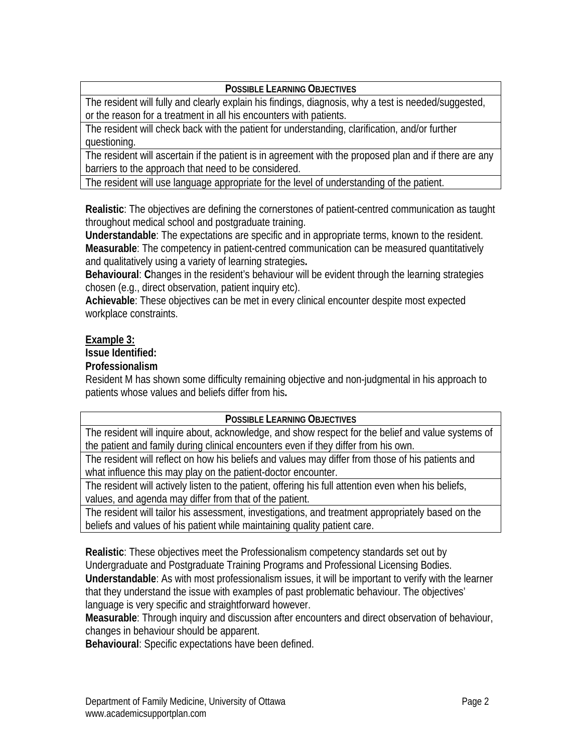## **POSSIBLE LEARNING OBJECTIVES**

The resident will fully and clearly explain his findings, diagnosis, why a test is needed/suggested, or the reason for a treatment in all his encounters with patients.

The resident will check back with the patient for understanding, clarification, and/or further questioning.

The resident will ascertain if the patient is in agreement with the proposed plan and if there are any barriers to the approach that need to be considered.

The resident will use language appropriate for the level of understanding of the patient.

**Realistic**: The objectives are defining the cornerstones of patient-centred communication as taught throughout medical school and postgraduate training.

**Understandable**: The expectations are specific and in appropriate terms, known to the resident. **Measurable**: The competency in patient-centred communication can be measured quantitatively and qualitatively using a variety of learning strategies**.** 

**Behavioural**: **C**hanges in the resident's behaviour will be evident through the learning strategies chosen (e.g., direct observation, patient inquiry etc).

**Achievable**: These objectives can be met in every clinical encounter despite most expected workplace constraints.

## **Example 3:**

**Issue Identified:** 

## **Professionalism**

Resident M has shown some difficulty remaining objective and non-judgmental in his approach to patients whose values and beliefs differ from his**.** 

### **POSSIBLE LEARNING OBJECTIVES**

The resident will inquire about, acknowledge, and show respect for the belief and value systems of the patient and family during clinical encounters even if they differ from his own.

The resident will reflect on how his beliefs and values may differ from those of his patients and what influence this may play on the patient-doctor encounter.

The resident will actively listen to the patient, offering his full attention even when his beliefs, values, and agenda may differ from that of the patient.

The resident will tailor his assessment, investigations, and treatment appropriately based on the beliefs and values of his patient while maintaining quality patient care.

**Realistic**: These objectives meet the Professionalism competency standards set out by Undergraduate and Postgraduate Training Programs and Professional Licensing Bodies.

**Understandable**: As with most professionalism issues, it will be important to verify with the learner that they understand the issue with examples of past problematic behaviour. The objectives' language is very specific and straightforward however.

**Measurable**: Through inquiry and discussion after encounters and direct observation of behaviour, changes in behaviour should be apparent.

**Behavioural**: Specific expectations have been defined.